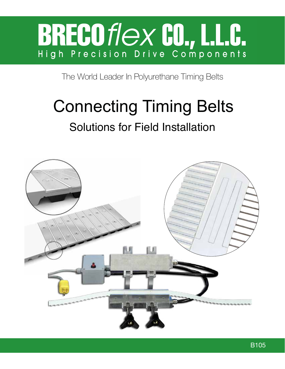# BRECOTIEX CO., LLC.

The World Leader In Polyurethane Timing Belts

## Connecting Timing Belts

### Solutions for Field Installation

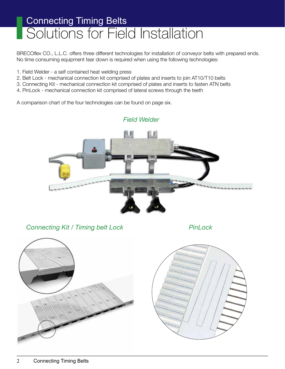BRECO*flex* CO., L.L.C. offers three different technologies for installation of conveyor belts with prepared ends. No time consuming equipment tear down is required when using the following technologies:

- 1. Field Welder a self contained heat welding press
- 2. Belt Lock mechanical connection kit comprised of plates and inserts to join AT10/T10 belts
- 3. Connecting Kit mechanical connection kit comprised of plates and inserts to fasten ATN belts
- 4. PinLock mechanical connection kit comprised of lateral screws through the teeth

A comparison chart of the four technologies can be found on page six.



*Connecting Kit / Timing belt Lock PinLock*



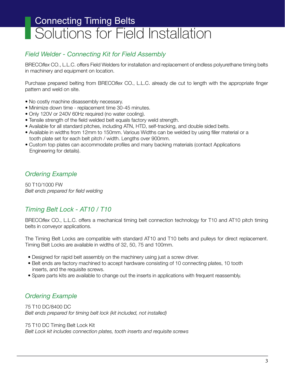#### *Field Welder - Connecting Kit for Field Assembly*

BRECO*flex* CO., L.L.C. offers Field Welders for installation and replacement of endless polyurethane timing belts in machinery and equipment on location.

Purchase prepared belting from BRECO*flex* CO., L.L.C. already die cut to length with the appropriate finger pattern and weld on site.

- No costly machine disassembly necessary.
- Minimize down time replacement time 30-45 minutes.
- Only 120V or 240V 60Hz required (no water cooling).
- Tensile strength of the field welded belt equals factory weld strength.
- Available for all standard pitches, including ATN, HTD, self-tracking, and double sided belts.
- Available in widths from 12mm to 150mm. Various Widths can be welded by using filler material or a tooth plate set for each belt pitch / width. Lengths over 900mm.
- Custom top plates can accommodate profiles and many backing materials (contact Applications Engineering for details).

#### *Ordering Example*

50 T10/1000 FW *Belt ends prepared for field welding*

#### *Timing Belt Lock - AT10 / T10*

BRECO*flex* CO., L.L.C. offers a mechanical timing belt connection technology for T10 and AT10 pitch timing belts in conveyor applications.

The Timing Belt Locks are compatible with standard AT10 and T10 belts and pulleys for direct replacement. Timing Belt Locks are available in widths of 32, 50, 75 and 100mm.

- Designed for rapid belt assembly on the machinery using just a screw driver.
- Belt ends are factory machined to accept hardware consisting of 10 connecting plates, 10 tooth inserts, and the requisite screws.
- Spare parts kits are available to change out the inserts in applications with frequent reassembly.

#### *Ordering Example*

75 T10 DC/8400 DC *Belt ends prepared for timing belt lock (kit included, not installed)*

75 T10 DC Timing Belt Lock Kit

*Belt Lock kit includes connection plates, tooth inserts and requisite screws*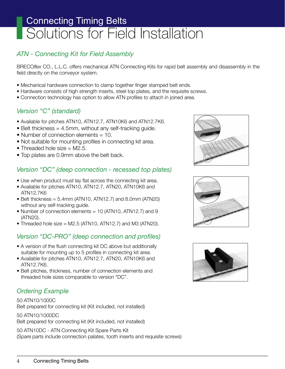#### *ATN - Connecting Kit for Field Assembly*

BRECO*flex* CO., L.L.C. offers mechanical ATN Connecting Kits for rapid belt assembly and disassembly in the field directly on the conveyor system.

- Mechanical hardware connection to clamp together finger stamped belt ends.
- Hardware consists of high strength inserts, steel top plates, and the requisite screws.
- Connection technology has option to allow ATN profiles to attach in joined area.

#### *Version "C" (standard)*

- Available for pitches ATN10, ATN12.7, ATN10K6 and ATN12.7K6.
- Belt thickness = 4.5mm, without any self-tracking guide.
- Number of connection elements = 10.
- Not suitable for mounting profiles in connecting kit area.
- Threaded hole size  $= M2.5$ .
- Top plates are 0.9mm above the belt back.

#### *Version "DC" (deep connection - recessed top plates)*

- Use when product must lay flat across the connecting kit area.
- Available for pitches ATN10, ATN12.7, ATN20, ATN10K6 and ATN12.7K6
- Belt thickness = 5.4mm (ATN10, ATN12.7) and 8.0mm (ATN20) without any self-tracking guide.
- Number of connection elements = 10 (ATN10, ATN12.7) and 9 (ATN20).
- Threaded hole size = M2.5 (ATN10, ATN12.7) and M3 (ATN20).

#### *Version "DC-PRO" (deep connection and profiles)*

- A version of the flush connecting kit DC above but additionally suitable for mounting up to 5 profiles in connecting kit area.
- Available for pitches ATN10, ATN12.7, ATN20, ATN10K6 and ATN12.7K6.
- Belt pitches, thickness, number of connection elements and threaded hole sizes comparable to version "DC".

#### *Ordering Example*

#### 50 ATN10/1000C Belt prepared for connecting kit (Kit included, not installed)

50 ATN10/1000DC Belt prepared for connecting kit (Kit included, not installed)

50 ATN10DC - ATN Connecting Kit Spare Parts Kit (Spare parts include connection palates, tooth inserts and requisite screws)





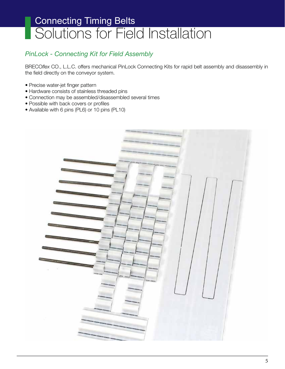#### *PinLock - Connecting Kit for Field Assembly*

BRECO*flex* CO., L.L.C. offers mechanical PinLock Connecting Kits for rapid belt assembly and disassembly in the field directly on the conveyor system.

- Precise water-jet finger pattern
- Hardware consists of stainless threaded pins
- Connection may be assembled/disassembled several times
- Possible with back covers or profiles
- Available with 6 pins (PL6) or 10 pins (PL10)

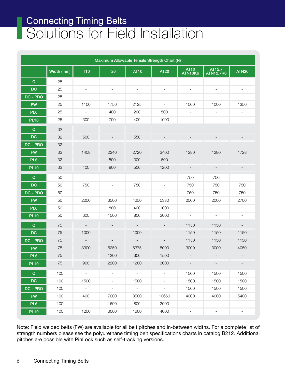| Maximum Allowable Tensile Strength Chart (N) |            |                          |                          |                          |                          |                          |                            |                          |  |  |
|----------------------------------------------|------------|--------------------------|--------------------------|--------------------------|--------------------------|--------------------------|----------------------------|--------------------------|--|--|
|                                              | Width (mm) | <b>T10</b>               | <b>T20</b>               | <b>AT10</b>              | <b>AT20</b>              | <b>AT10</b><br>ATN10K6   | AT12.7<br><b>ATN12.7K6</b> | <b>ATN20</b>             |  |  |
| $\mathbf C$                                  | 25         | $\overline{\phantom{a}}$ | $\overline{\phantom{a}}$ | $\overline{\phantom{a}}$ | $\overline{\phantom{a}}$ | $\overline{a}$           |                            |                          |  |  |
| <b>DC</b>                                    | 25         | $\overline{\phantom{a}}$ | $\overline{\phantom{a}}$ | $\overline{\phantom{a}}$ | $\overline{\phantom{a}}$ |                          |                            |                          |  |  |
| DC - PRO                                     | 25         | $\overline{\phantom{a}}$ | $\overline{\phantom{a}}$ | $\overline{\phantom{a}}$ | $\overline{\phantom{a}}$ | $\overline{\phantom{a}}$ | $\overline{\phantom{a}}$   | $\overline{\phantom{a}}$ |  |  |
| <b>FW</b>                                    | 25         | 1100                     | 1750                     | 2125                     | $\overline{\phantom{a}}$ | 1000                     | 1000                       | 1350                     |  |  |
| PL <sub>6</sub>                              | 25         | $\overline{\phantom{a}}$ | 400                      | 200                      | 500                      | $\overline{\phantom{a}}$ |                            |                          |  |  |
| <b>PL10</b>                                  | 25         | 300                      | 700                      | 400                      | 1000                     | $\overline{a}$           |                            |                          |  |  |
| $\mathbf C$                                  | 32         |                          |                          |                          |                          |                          |                            |                          |  |  |
| <b>DC</b>                                    | 32         | 500                      |                          | 550                      |                          |                          |                            |                          |  |  |
| DC - PRO                                     | 32         |                          |                          |                          |                          |                          |                            |                          |  |  |
| <b>FW</b>                                    | 32         | 1408                     | 2240                     | 2720                     | 3400                     | 1280                     | 1280                       | 1728                     |  |  |
| PL <sub>6</sub>                              | 32         |                          | 500                      | 300                      | 600                      |                          |                            |                          |  |  |
| <b>PL10</b>                                  | 32         | 400                      | 900                      | 500                      | 1200                     |                          |                            |                          |  |  |
| $\mathbf C$                                  | 50         | $\overline{\phantom{a}}$ | $\overline{\phantom{a}}$ | $\overline{\phantom{a}}$ | $\overline{\phantom{a}}$ | 750                      | 750                        | $\overline{\phantom{a}}$ |  |  |
| <b>DC</b>                                    | 50         | 750                      | $\overline{\phantom{a}}$ | 750                      | $\overline{\phantom{a}}$ | 750                      | 750                        | 750                      |  |  |
| DC - PRO                                     | 50         | $\equiv$                 | $\overline{\phantom{a}}$ | $\overline{\phantom{a}}$ | $\overline{\phantom{a}}$ | 750                      | 750                        | 750                      |  |  |
| <b>FW</b>                                    | 50         | 2200                     | 3500                     | 4250                     | 5330                     | 2000                     | 2000                       | 2700                     |  |  |
| PL <sub>6</sub>                              | 50         | $\overline{\phantom{a}}$ | 800                      | 400                      | 1000                     | $\overline{\phantom{a}}$ | $\blacksquare$             | $\overline{\phantom{a}}$ |  |  |
| <b>PL10</b>                                  | 50         | 600                      | 1500                     | 800                      | 2000                     | $\overline{\phantom{a}}$ | $\overline{\phantom{a}}$   | $\overline{\phantom{a}}$ |  |  |
| $\mathbf C$                                  | 75         |                          |                          |                          |                          | 1150                     | 1150                       |                          |  |  |
| DC                                           | 75         | 1000                     |                          | 1000                     |                          | 1150                     | 1150                       | 1150                     |  |  |
| DC - PRO                                     | 75         |                          |                          |                          |                          | 1150                     | 1150                       | 1150                     |  |  |
| <b>FW</b>                                    | 75         | 3300                     | 5250                     | 6375                     | 8000                     | 3000                     | 3000                       | 4050                     |  |  |
| PL <sub>6</sub>                              | 75         |                          | 1200                     | 600                      | 1500                     |                          |                            |                          |  |  |
| PL <sub>10</sub>                             | $75\,$     | 900                      | 2200                     | 1200                     | 3000                     | $\sim$                   | $\sim$                     | $\sim$                   |  |  |
| $\mathbf{C}$                                 | 100        | $\omega_{\rm c}$         | $\overline{\phantom{a}}$ | $\omega_{\rm c}$         | $\blacksquare$           | 1500                     | 1500                       | 1500                     |  |  |
| DC                                           | 100        | 1500                     | $\overline{\phantom{a}}$ | 1500                     | $\blacksquare$           | 1500                     | 1500                       | 1500                     |  |  |
| DC - PRO                                     | 100        | $\omega$                 | $\overline{\phantom{a}}$ | $\sim$                   | $\overline{\phantom{0}}$ | 1500                     | 1500                       | 1500                     |  |  |
| <b>FW</b>                                    | 100        | 400                      | 7000                     | 8500                     | 10660                    | 4000                     | 4000                       | 5400                     |  |  |
| PL6                                          | 100        | $\sim$                   | 1600                     | 800                      | 2000                     | $\overline{\phantom{a}}$ | $\blacksquare$             | $\blacksquare$           |  |  |
| <b>PL10</b>                                  | 100        | 1200                     | 3000                     | 1600                     | 4000                     | $\overline{\phantom{a}}$ | $\mathbb{L}$               | $\overline{\phantom{a}}$ |  |  |

Note: Field welded belts (FW) are available for all belt pitches and in-between widths. For a complete list of strength numbers please see the polyurethane timing belt specifications charts in catalog B212. Additional pitches are possible with PinLock such as self-tracking versions.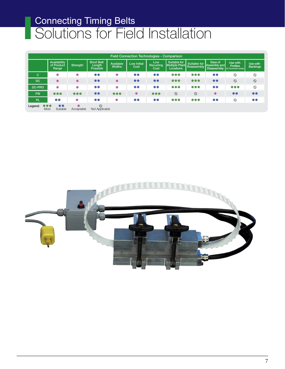| <b>Field Connection Technologies - Comparison</b> |             |                                     |                 |                                  |                            |                            |                                 |                                                    |                            |                                               |                                                      |                             |
|---------------------------------------------------|-------------|-------------------------------------|-----------------|----------------------------------|----------------------------|----------------------------|---------------------------------|----------------------------------------------------|----------------------------|-----------------------------------------------|------------------------------------------------------|-----------------------------|
|                                                   |             | Availability<br>of Product<br>Range | Strength        | Short Belt<br>Length<br>Possible | Available<br><b>Widths</b> | <b>Low Initial</b><br>Cost | Low<br><b>Recurring</b><br>Cost | Suitable for<br><b>Multiple Plant</b><br>Locations | Suitable for<br>Reassembly | Ease of<br>Assembly and<br><b>Disassembly</b> | Use with<br><b>Profiles</b><br>(In Connection areas) | Use with<br><b>Backings</b> |
| C                                                 |             | ₩                                   | ₩               | **                               | ₩                          | **                         | **                              | ***                                                | ***                        | **                                            | $\circ$                                              | $\circ$                     |
| <b>DC</b>                                         |             | ☀                                   | 米               | **                               | *                          | **                         | **                              | ***                                                | ***                        | **                                            | $\circ$                                              | $\circ$                     |
| DC-PRO                                            |             | ☀                                   | ₩               | **                               | ₩                          | **                         | **                              | ***                                                | ***                        | **                                            | ***                                                  | $\circ$                     |
| <b>FW</b>                                         |             | ***                                 | ***             | **                               | ***                        | *                          | ***                             | $\circ$                                            | $\circ$                    | ☀                                             | **                                                   | **                          |
| PL.                                               |             | **                                  | ₩               | **                               | ∗                          | **                         | **                              | ***                                                | ***                        | **                                            | $\circ$                                              | **                          |
| Legend:                                           | ***<br>Most | **<br>Suitable                      | ☀<br>Acceptable | $\circ$<br>Not Applicable        |                            |                            |                                 |                                                    |                            |                                               |                                                      |                             |